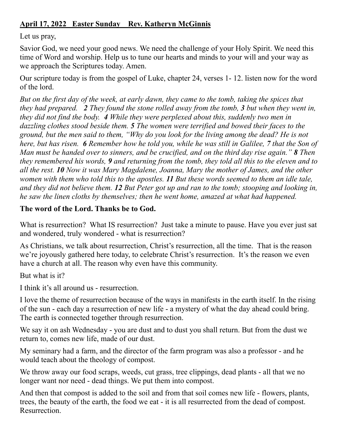## **April 17, 2022 Easter Sunday Rev. Katheryn McGinnis**

Let us pray,

Savior God, we need your good news. We need the challenge of your Holy Spirit. We need this time of Word and worship. Help us to tune our hearts and minds to your will and your way as we approach the Scriptures today. Amen.

Our scripture today is from the gospel of Luke, chapter 24, verses 1- 12. listen now for the word of the lord.

*But on the first day of the week, at early dawn, they came to the tomb, taking the spices that they had prepared. 2 They found the stone rolled away from the tomb, 3 but when they went in, they did not find the body. 4 While they were perplexed about this, suddenly two men in dazzling clothes stood beside them. 5 The women were terrified and bowed their faces to the ground, but the men said to them, "Why do you look for the living among the dead? He is not here, but has risen. 6 Remember how he told you, while he was still in Galilee, 7 that the Son of Man must be handed over to sinners, and be crucified, and on the third day rise again." 8 Then they remembered his words, 9 and returning from the tomb, they told all this to the eleven and to all the rest. 10 Now it was Mary Magdalene, Joanna, Mary the mother of James, and the other women with them who told this to the apostles. 11 But these words seemed to them an idle tale, and they did not believe them. 12 But Peter got up and ran to the tomb; stooping and looking in, he saw the linen cloths by themselves; then he went home, amazed at what had happened.* 

## **The word of the Lord. Thanks be to God.**

What is resurrection? What IS resurrection? Just take a minute to pause. Have you ever just sat and wondered, truly wondered - what is resurrection?

As Christians, we talk about resurrection, Christ's resurrection, all the time. That is the reason we're joyously gathered here today, to celebrate Christ's resurrection. It's the reason we even have a church at all. The reason why even have this community.

But what is it?

I think it's all around us - resurrection.

I love the theme of resurrection because of the ways in manifests in the earth itself. In the rising of the sun - each day a resurrection of new life - a mystery of what the day ahead could bring. The earth is connected together through resurrection.

We say it on ash Wednesday - you are dust and to dust you shall return. But from the dust we return to, comes new life, made of our dust.

My seminary had a farm, and the director of the farm program was also a professor - and he would teach about the theology of compost.

We throw away our food scraps, weeds, cut grass, tree clippings, dead plants - all that we no longer want nor need - dead things. We put them into compost.

And then that compost is added to the soil and from that soil comes new life - flowers, plants, trees, the beauty of the earth, the food we eat - it is all resurrected from the dead of compost. Resurrection.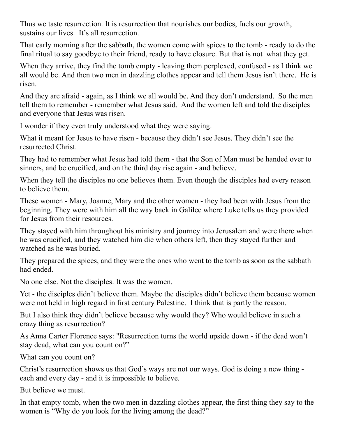Thus we taste resurrection. It is resurrection that nourishes our bodies, fuels our growth, sustains our lives. It's all resurrection.

That early morning after the sabbath, the women come with spices to the tomb - ready to do the final ritual to say goodbye to their friend, ready to have closure. But that is not what they get.

When they arrive, they find the tomb empty - leaving them perplexed, confused - as I think we all would be. And then two men in dazzling clothes appear and tell them Jesus isn't there. He is risen.

And they are afraid - again, as I think we all would be. And they don't understand. So the men tell them to remember - remember what Jesus said. And the women left and told the disciples and everyone that Jesus was risen.

I wonder if they even truly understood what they were saying.

What it meant for Jesus to have risen - because they didn't see Jesus. They didn't see the resurrected Christ.

They had to remember what Jesus had told them - that the Son of Man must be handed over to sinners, and be crucified, and on the third day rise again - and believe.

When they tell the disciples no one believes them. Even though the disciples had every reason to believe them.

These women - Mary, Joanne, Mary and the other women - they had been with Jesus from the beginning. They were with him all the way back in Galilee where Luke tells us they provided for Jesus from their resources.

They stayed with him throughout his ministry and journey into Jerusalem and were there when he was crucified, and they watched him die when others left, then they stayed further and watched as he was buried.

They prepared the spices, and they were the ones who went to the tomb as soon as the sabbath had ended.

No one else. Not the disciples. It was the women.

Yet - the disciples didn't believe them. Maybe the disciples didn't believe them because women were not held in high regard in first century Palestine. I think that is partly the reason.

But I also think they didn't believe because why would they? Who would believe in such a crazy thing as resurrection?

As Anna Carter Florence says: "Resurrection turns the world upside down - if the dead won't stay dead, what can you count on?"

What can you count on?

Christ's resurrection shows us that God's ways are not our ways. God is doing a new thing each and every day - and it is impossible to believe.

But believe we must.

In that empty tomb, when the two men in dazzling clothes appear, the first thing they say to the women is "Why do you look for the living among the dead?"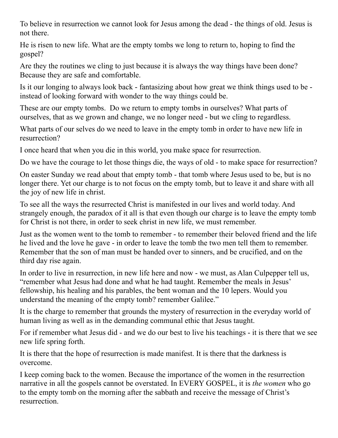To believe in resurrection we cannot look for Jesus among the dead - the things of old. Jesus is not there.

He is risen to new life. What are the empty tombs we long to return to, hoping to find the gospel?

Are they the routines we cling to just because it is always the way things have been done? Because they are safe and comfortable.

Is it our longing to always look back - fantasizing about how great we think things used to be instead of looking forward with wonder to the way things could be.

These are our empty tombs. Do we return to empty tombs in ourselves? What parts of ourselves, that as we grown and change, we no longer need - but we cling to regardless.

What parts of our selves do we need to leave in the empty tomb in order to have new life in resurrection?

I once heard that when you die in this world, you make space for resurrection.

Do we have the courage to let those things die, the ways of old - to make space for resurrection?

On easter Sunday we read about that empty tomb - that tomb where Jesus used to be, but is no longer there. Yet our charge is to not focus on the empty tomb, but to leave it and share with all the joy of new life in christ.

To see all the ways the resurrected Christ is manifested in our lives and world today. And strangely enough, the paradox of it all is that even though our charge is to leave the empty tomb for Christ is not there, in order to seek christ in new life, we must remember.

Just as the women went to the tomb to remember - to remember their beloved friend and the life he lived and the love he gave - in order to leave the tomb the two men tell them to remember. Remember that the son of man must be handed over to sinners, and be crucified, and on the third day rise again.

In order to live in resurrection, in new life here and now - we must, as Alan Culpepper tell us, "remember what Jesus had done and what he had taught. Remember the meals in Jesus' fellowship, his healing and his parables, the bent woman and the 10 lepers. Would you understand the meaning of the empty tomb? remember Galilee."

It is the charge to remember that grounds the mystery of resurrection in the everyday world of human living as well as in the demanding communal ethic that Jesus taught.

For if remember what Jesus did - and we do our best to live his teachings - it is there that we see new life spring forth.

It is there that the hope of resurrection is made manifest. It is there that the darkness is overcome.

I keep coming back to the women. Because the importance of the women in the resurrection narrative in all the gospels cannot be overstated. In EVERY GOSPEL, it is *the women* who go to the empty tomb on the morning after the sabbath and receive the message of Christ's resurrection.